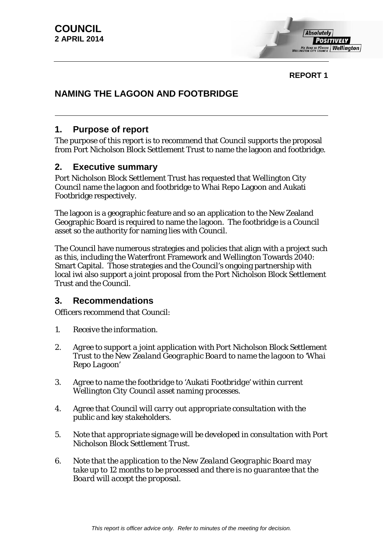

**REPORT 1**

# **NAMING THE LAGOON AND FOOTBRIDGE**

## **1. Purpose of report**

The purpose of this report is to recommend that Council supports the proposal from Port Nicholson Block Settlement Trust to name the lagoon and footbridge.

## **2. Executive summary**

Port Nicholson Block Settlement Trust has requested that Wellington City Council name the lagoon and footbridge to Whai Repo Lagoon and Aukati Footbridge respectively.

The lagoon is a geographic feature and so an application to the New Zealand Geographic Board is required to name the lagoon. The footbridge is a Council asset so the authority for naming lies with Council.

The Council have numerous strategies and policies that align with a project such as this, including the Waterfront Framework and Wellington Towards 2040: Smart Capital. Those strategies and the Council's ongoing partnership with local iwi also support a joint proposal from the Port Nicholson Block Settlement Trust and the Council.

## **3. Recommendations**

Officers recommend that Council:

- *1. Receive the information.*
- *2. Agree to support a joint application with Port Nicholson Block Settlement Trust to the New Zealand Geographic Board to name the lagoon to 'Whai Repo Lagoon'*
- *3. Agree to name the footbridge to 'Aukati Footbridge' within current Wellington City Council asset naming processes.*
- *4. Agree that Council will carry out appropriate consultation with the public and key stakeholders.*
- *5. Note that appropriate signage will be developed in consultation with Port Nicholson Block Settlement Trust.*
- *6. Note that the application to the New Zealand Geographic Board may take up to 12 months to be processed and there is no guarantee that the Board will accept the proposal.*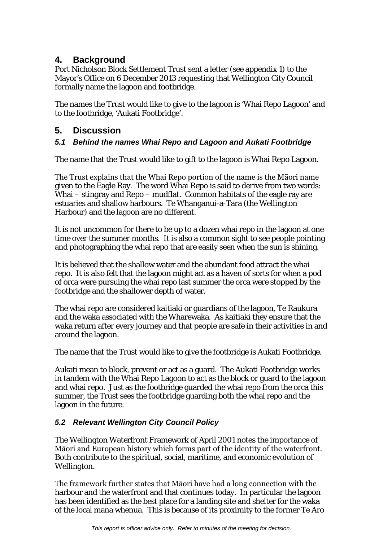## **4. Background**

Port Nicholson Block Settlement Trust sent a letter (see appendix 1) to the Mayor's Office on 6 December 2013 requesting that Wellington City Council formally name the lagoon and footbridge.

The names the Trust would like to give to the lagoon is 'Whai Repo Lagoon' and to the footbridge, 'Aukati Footbridge'.

## **5. Discussion**

## *5.1 Behind the names Whai Repo and Lagoon and Aukati Footbridge*

The name that the Trust would like to gift to the lagoon is Whai Repo Lagoon.

The Trust explains that the Whai Repo portion of the name is the Māori name given to the Eagle Ray. The word Whai Repo is said to derive from two words: Whai – stingray and Repo – mudflat. Common habitats of the eagle ray are estuaries and shallow harbours. Te Whanganui-a-Tara (the Wellington Harbour) and the lagoon are no different.

It is not uncommon for there to be up to a dozen whai repo in the lagoon at one time over the summer months. It is also a common sight to see people pointing and photographing the whai repo that are easily seen when the sun is shining.

It is believed that the shallow water and the abundant food attract the whai repo. It is also felt that the lagoon might act as a haven of sorts for when a pod of orca were pursuing the whai repo last summer the orca were stopped by the footbridge and the shallower depth of water.

The whai repo are considered kaitiaki or guardians of the lagoon, Te Raukura and the waka associated with the Wharewaka. As kaitiaki they ensure that the waka return after every journey and that people are safe in their activities in and around the lagoon.

The name that the Trust would like to give the footbridge is Aukati Footbridge.

Aukati mean to block, prevent or act as a guard. The Aukati Footbridge works in tandem with the Whai Repo Lagoon to act as the block or guard to the lagoon and whai repo. Just as the footbridge guarded the whai repo from the orca this summer, the Trust sees the footbridge guarding both the whai repo and the lagoon in the future.

### *5.2 Relevant Wellington City Council Policy*

The Wellington Waterfront Framework of April 2001 notes the importance of Māori and European history which forms part of the identity of the waterfront. Both contribute to the spiritual, social, maritime, and economic evolution of Wellington.

The framework further states that Māori have had a long connection with the harbour and the waterfront and that continues today. In particular the lagoon has been identified as the best place for a landing site and shelter for the waka of the local mana whenua. This is because of its proximity to the former Te Aro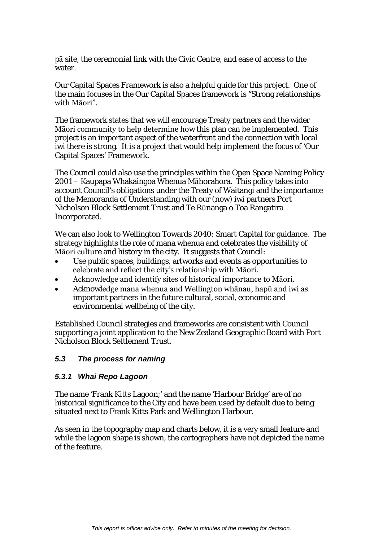pā site, the ceremonial link with the Civic Centre, and ease of access to the water.

Our Capital Spaces Framework is also a helpful guide for this project. One of the main focuses in the Our Capital Spaces framework is "Strong relationships with Māori".

The framework states that we will encourage Treaty partners and the wider Māori community to help determine how this plan can be implemented. This project is an important aspect of the waterfront and the connection with local iwi there is strong. It is a project that would help implement the focus of 'Our Capital Spaces' Framework.

The Council could also use the principles within the Open Space Naming Policy 2001 – Kaupapa Whakaingoa Whenua Māhorahora. This policy takes into account Council's obligations under the Treaty of Waitangi and the importance of the Memoranda of Understanding with our (now) iwi partners Port Nicholson Block Settlement Trust and Te Rūnanga o Toa Rangatira Incorporated.

We can also look to Wellington Towards 2040: Smart Capital for guidance. The strategy highlights the role of mana whenua and celebrates the visibility of Māori culture and history in the city. It suggests that Council:

- Use public spaces, buildings, artworks and events as opportunities to celebrate and reflect the city's relationship with Māori.
- Acknowledge and identify sites of historical importance to Māori.
- Acknowledge mana whenua and Wellington whānau, hapū and iwi as important partners in the future cultural, social, economic and environmental wellbeing of the city.

Established Council strategies and frameworks are consistent with Council supporting a joint application to the New Zealand Geographic Board with Port Nicholson Block Settlement Trust.

#### *5.3 The process for naming*

#### *5.3.1 Whai Repo Lagoon*

The name 'Frank Kitts Lagoon;' and the name 'Harbour Bridge' are of no historical significance to the City and have been used by default due to being situated next to Frank Kitts Park and Wellington Harbour.

As seen in the topography map and charts below, it is a very small feature and while the lagoon shape is shown, the cartographers have not depicted the name of the feature.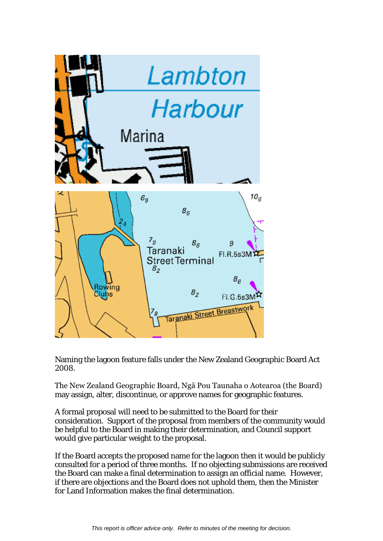

Naming the lagoon feature falls under the New Zealand Geographic Board Act 2008.

The New Zealand Geographic Board, Ngā Pou Taunaha o Aotearoa (the Board) may assign, alter, discontinue, or approve names for geographic features.

A formal proposal will need to be submitted to the Board for their consideration. Support of the proposal from members of the community would be helpful to the Board in making their determination, and Council support would give particular weight to the proposal.

If the Board accepts the proposed name for the lagoon then it would be publicly consulted for a period of three months. If no objecting submissions are received the Board can make a final determination to assign an official name. However, if there are objections and the Board does not uphold them, then the Minister for Land Information makes the final determination.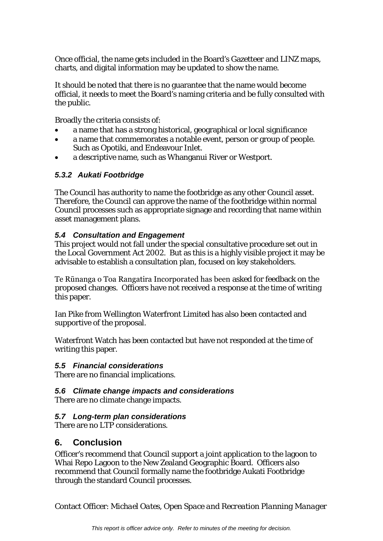Once official, the name gets included in the Board's Gazetteer and LINZ maps, charts, and digital information may be updated to show the name.

It should be noted that there is no guarantee that the name would become official, it needs to meet the Board's naming criteria and be fully consulted with the public.

Broadly the criteria consists of:

- a name that has a strong historical, geographical or local significance
- a name that commemorates a notable event, person or group of people. Such as Opotiki, and Endeavour Inlet.
- a descriptive name, such as Whanganui River or Westport.

### *5.3.2 Aukati Footbridge*

The Council has authority to name the footbridge as any other Council asset. Therefore, the Council can approve the name of the footbridge within normal Council processes such as appropriate signage and recording that name within asset management plans.

#### *5.4 Consultation and Engagement*

This project would not fall under the special consultative procedure set out in the Local Government Act 2002. But as this is a highly visible project it may be advisable to establish a consultation plan, focused on key stakeholders.

Te Rūnanga o Toa Rangatira Incorporated has been asked for feedback on the proposed changes. Officers have not received a response at the time of writing this paper.

Ian Pike from Wellington Waterfront Limited has also been contacted and supportive of the proposal.

Waterfront Watch has been contacted but have not responded at the time of writing this paper.

#### *5.5 Financial considerations*

There are no financial implications.

### *5.6 Climate change impacts and considerations*

There are no climate change impacts.

### *5.7 Long-term plan considerations*

There are no LTP considerations.

## **6. Conclusion**

Officer's recommend that Council support a joint application to the lagoon to Whai Repo Lagoon to the New Zealand Geographic Board. Officers also recommend that Council formally name the footbridge Aukati Footbridge through the standard Council processes.

Contact Officer: *Michael Oates, Open Space and Recreation Planning Manager*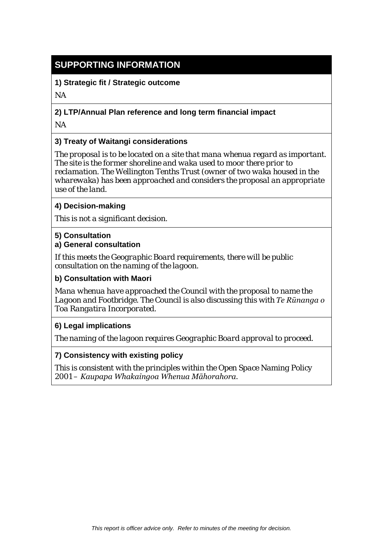# **SUPPORTING INFORMATION**

**1) Strategic fit / Strategic outcome**

*NA*

## **2) LTP/Annual Plan reference and long term financial impact**

*NA* 

## **3) Treaty of Waitangi considerations**

*The proposal is to be located on a site that mana whenua regard as important. The site is the former shoreline and waka used to moor there prior to reclamation. The Wellington Tenths Trust (owner of two waka housed in the wharewaka) has been approached and considers the proposal an appropriate use of the land.*

## **4) Decision-making**

*This is not a significant decision.* 

## **5) Consultation**

## **a) General consultation**

*If this meets the Geographic Board requirements, there will be public consultation on the naming of the lagoon.*

### **b) Consultation with Maori**

*Mana whenua have approached the Council with the proposal to name the Lagoon and Footbridge. The Council is also discussing this with Te Rūnanga o Toa Rangatira Incorporated.*

### **6) Legal implications**

*The naming of the lagoon requires Geographic Board approval to proceed.*

### **7) Consistency with existing policy**

*This is consistent with the principles within the Open Space Naming Policy 2001 – Kaupapa Whakaingoa Whenua Māhorahora.*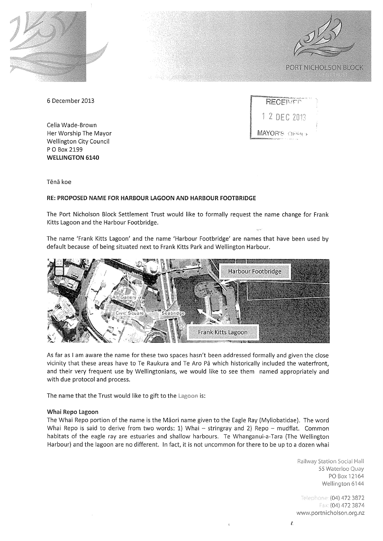



6 December 2013

Celia Wade-Brown Her Worship The Mayor **Wellington City Council** P O Box 2199 **WELLINGTON 6140** 

| <b>Management Andre Barrows (1988)</b><br>RECENTE |  |
|---------------------------------------------------|--|
| 1 2 DEC 2013                                      |  |
| MAYOR'S OFFICE                                    |  |

Tēnā koe

#### RE: PROPOSED NAME FOR HARBOUR LAGOON AND HARBOUR FOOTBRIDGE

The Port Nicholson Block Settlement Trust would like to formally request the name change for Frank Kitts Lagoon and the Harbour Footbridge.

The name 'Frank Kitts Lagoon' and the name 'Harbour Footbridge' are names that have been used by default because of being situated next to Frank Kitts Park and Wellington Harbour.



As far as I am aware the name for these two spaces hasn't been addressed formally and given the close vicinity that these areas have to Te Raukura and Te Aro Pa which historically included the waterfront, and their very frequent use by Wellingtonians, we would like to see them named appropriately and with due protocol and process.

The name that the Trust would like to gift to the Lagoon is:

#### Whai Repo Lagoon

The Whai Repo portion of the name is the Māori name given to the Eagle Ray (Myliobatidae). The word Whai Repo is said to derive from two words: 1) Whai - stringray and 2) Repo - mudflat. Common habitats of the eagle ray are estuaries and shallow harbours. Te Whanganui-a-Tara (The Wellington Harbour) and the lagoon are no different. In fact, it is not uncommon for there to be up to a dozen whai

> Railway Station Social Hall 55 Waterloo Quay PO Box 12164 Wellington 6144

> Telephone: (04) 472 3872 Fax: (04) 472 3874 www.portnicholson.org.nz

Ê.